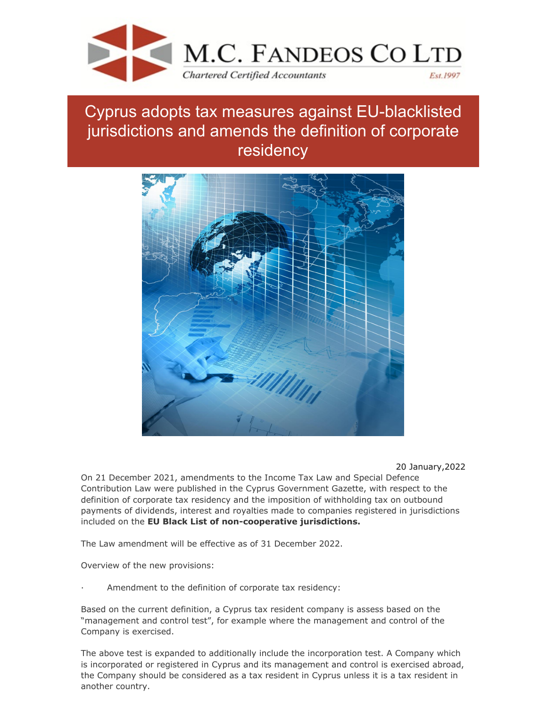

## Cyprus adopts tax measures against EU-blacklisted jurisdictions and amends the definition of corporate residency



20 January,2022

On 21 December 2021, amendments to the Income Tax Law and Special Defence Contribution Law were published in the Cyprus Government Gazette, with respect to the definition of corporate tax residency and the imposition of withholding tax on outbound payments of dividends, interest and royalties made to companies registered in jurisdictions included on the **EU Black List of non-cooperative jurisdictions.**

The Law amendment will be effective as of 31 December 2022.

Overview of the new provisions:

Amendment to the definition of corporate tax residency:

Based on the current definition, a Cyprus tax resident company is assess based on the "management and control test", for example where the management and control of the Company is exercised.

The above test is expanded to additionally include the incorporation test. A Company which is incorporated or registered in Cyprus and its management and control is exercised abroad, the Company should be considered as a tax resident in Cyprus unless it is a tax resident in another country.